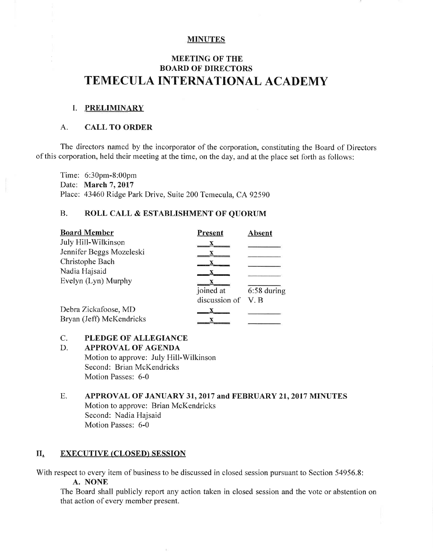#### MINUTES

# MEETING OF THE BOARD OF DIRECTORS TEMECULA INTERNATIONAL ACADEMY

#### I. PRELIMINARY

#### A. CALL TO ORDER

The directors named by the incorporator of the corporation, constituting the Board of Directors of this corporation, held their meeting at the time, on the day, and at the place set forth as follows:

Time: 6:30pm-8:00pm Date: March 7, 2017 Place: 43460 Ridge Park Drive, Suite 200 Temecula, CA 92590

#### B. ROLL CALL & ESTABLISHMENT OF QUORUM

| <b>Board Member</b>      | <b>Present</b> | Absent      |
|--------------------------|----------------|-------------|
| July Hill-Wilkinson      | X              |             |
| Jennifer Beggs Mozeleski | x              |             |
| Christophe Bach          |                |             |
| Nadia Hajsaid            |                |             |
| Evelyn (Lyn) Murphy      |                |             |
|                          | joined at      | 6:58 during |
|                          | discussion of  | V.B         |
| Debra Zickafoose, MD     |                |             |
| Bryan (Jeff) McKendricks |                |             |

#### C. PLEDGE OF ALLEGIANCE

D. APPROVAL OF AGENDA Motion to approve: July Hill-Wilkinson Second: Brian McKendricks Motion Passes: 6-0

### E. APPROVAL OF JANUARY 31,2017 and FEBRUARY 21,2017 MINUTES Motion to approve: Brian McKendricks Second: Nadia Hajsaid Motion Passes: 6-0

#### II. EXECUTIVE (CLOSED) SESSION

With respect to every item of business to be discussed in closed session pursuant to Section 54956.8:

#### A. NONE

The Board shall publicly report any action taken in closed session and the vote or abstention on that action of every member present.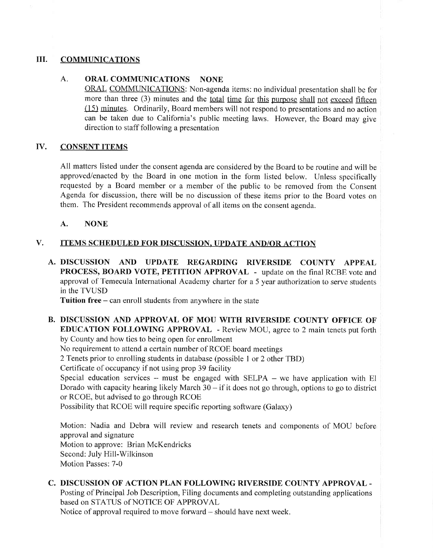### III. COMMUNICATIONS

### A. ORAL COMMUNICATIONS NONE

ORAL COMMUNICATIONS: Non-agenda items: no individual presentation shall be for more than three (3) minutes and the total time for this purpose shall not exceed fifteen (15) minutes. Ordinarily, Board members will not respond to presentations and no action can be taken due to California's public meeting laws. However, the Board may give direction to staff following a presentation

### IV. CONSENT ITEMS

All matters listed under the consent agenda are considered by the Board to be routine and will be approved/enacted by the Board in one motion in the form listed below. Unless specifically requested by a Board member or a member of the public to be removed from the Consent Agenda for discussion, there will be no discussion of these items prior to the Board votes on them. The President recommends approval of all items on the consent agenda.

A. NONE

### V. ITEMS SCHEDULED FOR DISCUSSION, UPDATE AND/OR ACTION

A. DISCUSSION AND UPDATE REGARDING RIVERSIDE COUNTY APPEAL PROCESS, BOARD VOTE, PETITION APPROVAL - update on the final RCBE vote and approval of Temecula International Academy charter for a 5 year authorization to serve students in the TVUSD

Tuition free – can enroll students from anywhere in the state

B. DISCUSSION AND APPROVAL OF MOU WITH RIVERSIDE COUNTY OFFICE OF EDUCATION FOLLOWING APPROVAL - Review MOU, agree to 2 main tenets put forth by County and how ties to being open for enrollment

No requirement to attend a certain number of RCOE board meetings

2 Tenets prior to enrolling students in database (possible I or 2 other TBD)

Certificate of occupancy if not using prop 39 facility

Special education services -- must be engaged with SELPA -- we have application with El Dorado with capacity hearing likely March  $30 - if$  it does not go through, options to go to district or RCOE, but advised to go through RCOE

Possibility that RCOE will require specific reporting software (Galaxy)

Motion: Nadia and Debra will review and research tenets and components of MOU before approval and signature Motion to approve: Brian McKendricks Second: July Htill-Wiilkinson Motion Passes: 7-0

### C. DISCUSSION OF ACTION PLAN FOLLOWING RIVERSIDE COUNTY APPROVAL -Posting of Principal Job Description, Filing documents and completing outstanding applications

based on STATUS of NOTICE OF APPROVAL

Notice of approval required to move forward -- should have next week.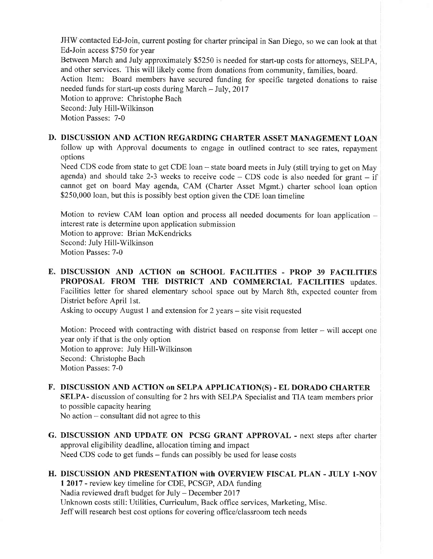JHW contacted Ed-Join, current posting for charter principal in San Diego, so we can look at that Ed-Join access \$750 for year Between March and July approximately \$5250 is needed for start-up costs for attorneys, SELPA, and other services. This will likely come from donations from community, families, board. Action Item: Board members have secured funding for specific targeted donations to raise needed funds for start-up costs during March  $-$  July, 2017 Motion to approve: Christophe Bach Second: July FIill-Wilkinson Motion Passes: 7-0

### D. DISCUSSION AND ACTION REGARDING CHARTER ASSET MANAGEMENT LOAN

follow up with Approval documents to engage in outlined contract to see rates, repayment options

Need CDS code from state to get CDE loan – state board meets in July (still trying to get on May agenda) and should take 2-3 weeks to receive code  $-$  CDS code is also needed for grant  $-$  if cannot get on board May agenda, CAM (Charter Asset Mgmt.) charter school loan option \$250,000 loan, but this is possibly best option given the CDE loan timeline

Motion to review CAM loan option and process all needed documents for loan application  $$ interest rate is determine upon application submission Motion to approve: Brian McKendricks Second: July Hill-Wilkinson Motion Passes: 7-0

E. DISCUSSION AND ACTION on SCHOOL FACILITIES - PROP 39 FACILITIES PROPOSAL FROM THE DISTRICT AND COMMERCIAL FACILITIES updates. Facilities letter for shared elementary school space out by March 8th, expected counter from District before April 1st.

Asking to occupy August 1 and extension for 2 years – site visit requested

Motion: Proceed with contracting with district based on response from letter  $-$  will accept one year only if that is the only option Motion to approve: Iuly Hill-Wilkinson Second: Christophe Bach Motion Passes: 7-0

- DISCUSSION AND ACTION on SELPA APPLICATION(S) EL DORADO CIIARTER F.SELPA- discussion of consulting for 2 hrs with SELPA Specialist and TIA team members prior to possible capacity hearing No action  $-$  consultant did not agree to this
- G. DISCUSSION AND UPDATE ON PCSG GRANT APPROVAL next steps after charter approval eligibility deadline, allocation timing and impact Need CDS code to get funds - funds can possibly be used for lease costs
- H. DISCUSSION AND PRESENTATION with OVERVIEW FISCAL PLAN JULY 1-NOV 1 2017 - review key timeline for CDE, PCSGP, ADA funding Nadia reviewed draft budget for July - December 2017 Unknown costs still: Utilities, Curriculum, Back office services, Marketing, Misc. Jeff will research best cost options for covering office/classroom tech needs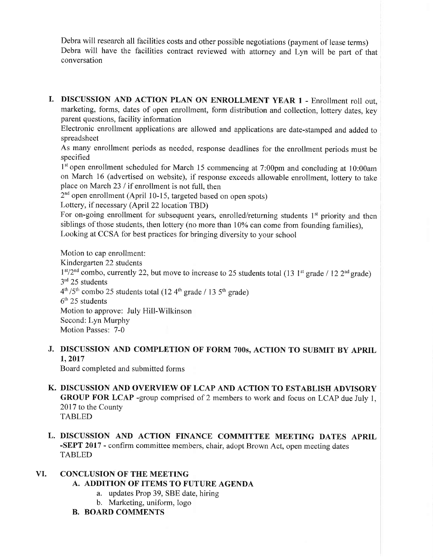Debra will research all facilities costs and other possible negotiations (payment of lease terms) Debra will have the facilities contract reviewed with attorney and Lyn will be part of that conversation

L DISCUSSION AND ACTION PLAN ON ENROLLMENT YEAR I - Enrollment roll out, marketing, forms, dates of open enrollment, form distribution and collection, lottery dates, key parent questions, facility information

Electronic enrollment applications are allowed and applications are date-stamped and added to spreadsheet

As many enrollment periods as needed, response deadlines for the enrollment periods must be specified

 $1<sup>st</sup>$  open enrollment scheduled for March 15 commencing at 7:00pm and concluding at 10:00am on March l6 (advertised on website), if response exceeds allowable enrollment, lottery to take place on March 23 / if enrollment is not full, then

 $2<sup>nd</sup>$  open enrollment (April 10-15, targeted based on open spots)

Lottery, if necessary (April 22 location TBD)

For on-going enrollment for subsequent years, enrolled/returning students 1<sup>st</sup> priority and then siblings of those students, then lottery (no more than 10% can come from founding families), Looking at CCSA for best practices for bringing diversity to your school

Motion to cap enrollment: Kindergarten 22 students  $1<sup>st</sup>/2<sup>nd</sup>$  combo, currently 22, but move to increase to 25 students total (13 1<sup>st</sup> grade / 12 2<sup>nd</sup> grade) 3rd 25 students  $4<sup>th</sup>/5<sup>th</sup>$  combo 25 students total (12  $4<sup>th</sup>$  grade / 13  $5<sup>th</sup>$  grade)  $6<sup>th</sup>$  25 students Motion to approve: July Hill-Wilkinson Second: Lyn Murphy Motion Passes: 7-0

J. DISCUSSION AND COMPLETION OF FORM 700s, ACTION TO SUBMIT BY APRIL 1,2017

Board completed and submitted forms

- K. DISCUSSION AND OVERVIEW OF LCAP AND ACTION TO ESTABLISH ADVISORY GROUP FOR LCAP -group comprised of 2 members to work and focus on LCAP due July 1. 2017 to the County TABLED
- L. DISCUSSION AND ACTION FINANCE COMMITTEE MEETING DATES APRIL -SEPT 2017 - confirm committee members, chair, adopt Brown Act, open meeting dates TABLED

# VI. CONCLUSION OF THE MEETING

- A. ADDITION OF ITEMS TO FUTURE AGENDA
	- a. updates Prop 39, SBE date, hiring
	- b. Marketing, uniform, logo
- B. BOARD COMMENTS